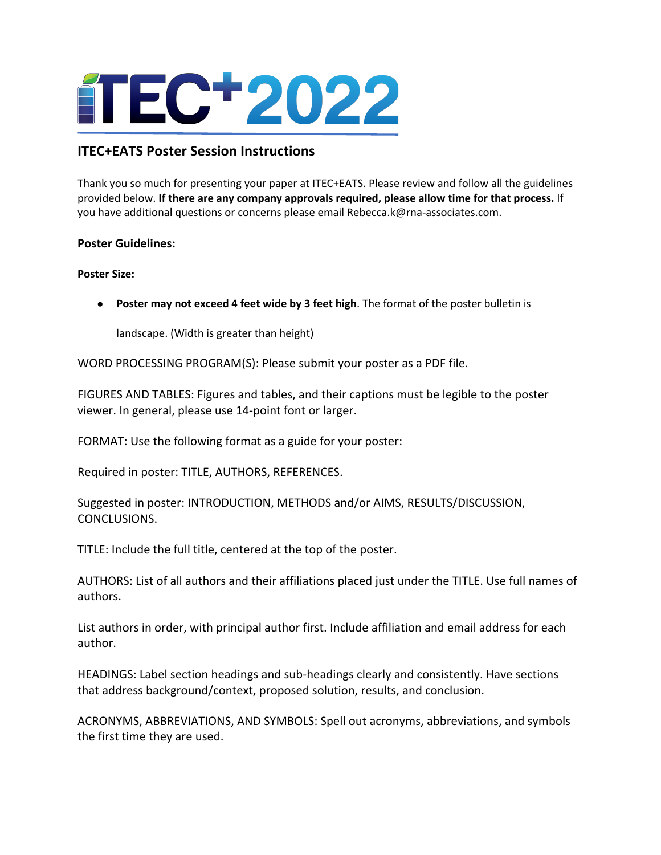

# **ITEC+EATS Poster Session Instructions**

Thank you so much for presenting your paper at ITEC+EATS. Please review and follow all the guidelines provided below. **If there are any company approvals required, please allow time for that process.** If you have additional questions or concerns please email Rebecca.k@rna-associates.com.

# **Poster Guidelines:**

#### **Poster Size:**

● **Poster may not exceed 4 feet wide by 3 feet high**. The format of the poster bulletin is

landscape. (Width is greater than height)

WORD PROCESSING PROGRAM(S): Please submit your poster as a PDF file.

FIGURES AND TABLES: Figures and tables, and their captions must be legible to the poster viewer. In general, please use 14-point font or larger.

FORMAT: Use the following format as a guide for your poster:

Required in poster: TITLE, AUTHORS, REFERENCES.

Suggested in poster: INTRODUCTION, METHODS and/or AIMS, RESULTS/DISCUSSION, CONCLUSIONS.

TITLE: Include the full title, centered at the top of the poster.

AUTHORS: List of all authors and their affiliations placed just under the TITLE. Use full names of authors.

List authors in order, with principal author first. Include affiliation and email address for each author.

HEADINGS: Label section headings and sub-headings clearly and consistently. Have sections that address background/context, proposed solution, results, and conclusion.

ACRONYMS, ABBREVIATIONS, AND SYMBOLS: Spell out acronyms, abbreviations, and symbols the first time they are used.